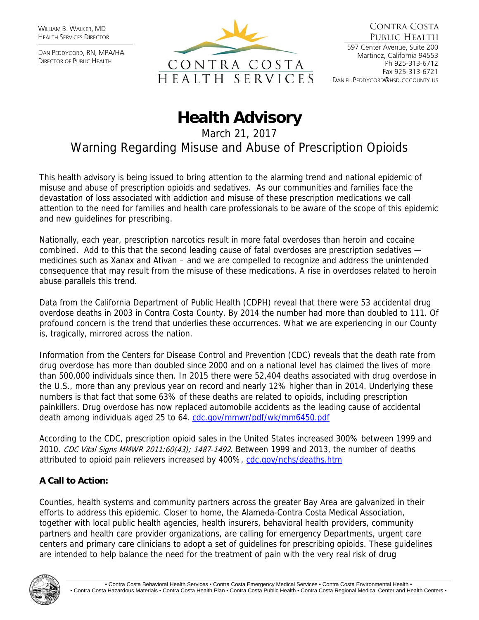WILLIAM B. WALKER, MD HEALTH SERVICES DIRECTOR

DAN PEDDYCORD, RN, MPA/HA DIRECTOR OF PUBLIC HEALTH



## **Health Advisory**

March 21, 2017

Warning Regarding Misuse and Abuse of Prescription Opioids

This health advisory is being issued to bring attention to the alarming trend and national epidemic of misuse and abuse of prescription opioids and sedatives. As our communities and families face the devastation of loss associated with addiction and misuse of these prescription medications we call attention to the need for families and health care professionals to be aware of the scope of this epidemic and new guidelines for prescribing.

Nationally, each year, prescription narcotics result in more fatal overdoses than heroin and cocaine combined. Add to this that the second leading cause of fatal overdoses are prescription sedatives medicines such as Xanax and Ativan – and we are compelled to recognize and address the unintended consequence that may result from the misuse of these medications. A rise in overdoses related to heroin abuse parallels this trend.

Data from the California Department of Public Health (CDPH) reveal that there were 53 accidental drug overdose deaths in 2003 in Contra Costa County. By 2014 the number had more than doubled to 111. Of profound concern is the trend that underlies these occurrences. What we are experiencing in our County is, tragically, mirrored across the nation.

Information from the Centers for Disease Control and Prevention (CDC) reveals that the death rate from drug overdose has more than doubled since 2000 and on a national level has claimed the lives of more than 500,000 individuals since then. In 2015 there were 52,404 deaths associated with drug overdose in the U.S., more than any previous year on record and nearly 12% higher than in 2014. Underlying these numbers is that fact that some 63% of these deaths are related to opioids, including prescription painkillers. Drug overdose has now replaced automobile accidents as the leading cause of accidental death among individuals aged 25 to 64. [cdc.gov/mmwr/pdf/wk/mm6450.pdf](http://www.cdc.gov/mmwr/pdf/wk/mm6450.pdf) 

According to the CDC, prescription opioid sales in the United States increased 300% between 1999 and 2010. CDC Vital Signs MMWR 2011:60(43); 1487-1492. Between 1999 and 2013, the number of deaths attributed to opioid pain relievers increased by 400%, [cdc.gov/nchs/deaths.htm](http://www.cdc.gov/nchs/deaths.htm)

## **A Call to Action:**

Counties, health systems and community partners across the greater Bay Area are galvanized in their efforts to address this epidemic. Closer to home, the Alameda-Contra Costa Medical Association, together with local public health agencies, health insurers, behavioral health providers, community partners and health care provider organizations, are calling for emergency Departments, urgent care centers and primary care clinicians to adopt a set of guidelines for prescribing opioids. These guidelines are intended to help balance the need for the treatment of pain with the very real risk of drug